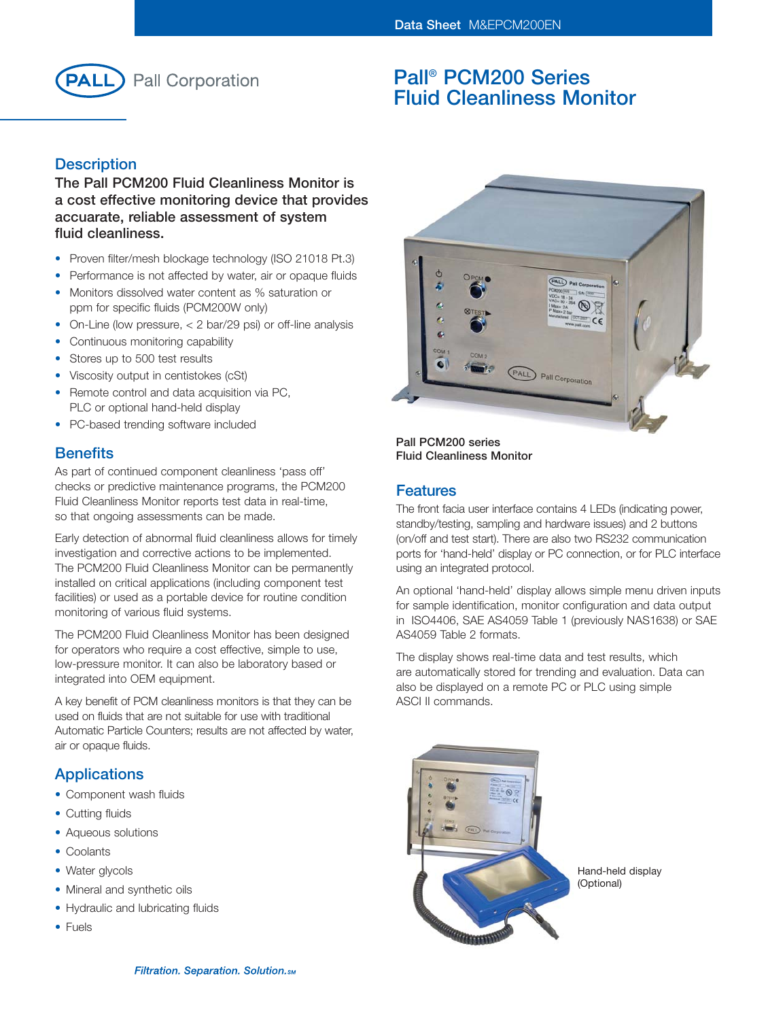

# **Pall® PCM200 Series Fluid Cleanliness Monitor**

# **Description**

**The Pall PCM200 Fluid Cleanliness Monitor is a cost effective monitoring device that provides accuarate, reliable assessment of system fluid cleanliness.**

- Proven filter/mesh blockage technology (ISO 21018 Pt.3)
- Performance is not affected by water, air or opaque fluids
- Monitors dissolved water content as % saturation or ppm for specific fluids (PCM200W only)
- On-Line (low pressure, < 2 bar/29 psi) or off-line analysis
- Continuous monitoring capability
- Stores up to 500 test results
- Viscosity output in centistokes (cSt)
- Remote control and data acquisition via PC, PLC or optional hand-held display
- PC-based trending software included

## **Benefits**

As part of continued component cleanliness 'pass off' checks or predictive maintenance programs, the PCM200 Fluid Cleanliness Monitor reports test data in real-time, so that ongoing assessments can be made.

Early detection of abnormal fluid cleanliness allows for timely investigation and corrective actions to be implemented. The PCM200 Fluid Cleanliness Monitor can be permanently installed on critical applications (including component test facilities) or used as a portable device for routine condition monitoring of various fluid systems.

The PCM200 Fluid Cleanliness Monitor has been designed for operators who require a cost effective, simple to use, low-pressure monitor. It can also be laboratory based or integrated into OEM equipment.

A key benefit of PCM cleanliness monitors is that they can be used on fluids that are not suitable for use with traditional Automatic Particle Counters; results are not affected by water, air or opaque fluids.

# **Applications**

- Component wash fluids
- Cutting fluids
- Aqueous solutions
- Coolants
- Water glycols
- Mineral and synthetic oils
- Hydraulic and lubricating fluids
- Fuels



**Pall PCM200 series Fluid Cleanliness Monitor**

## **Features**

The front facia user interface contains 4 LEDs (indicating power, standby/testing, sampling and hardware issues) and 2 buttons (on/off and test start). There are also two RS232 communication ports for 'hand-held' display or PC connection, or for PLC interface using an integrated protocol.

An optional 'hand-held' display allows simple menu driven inputs for sample identification, monitor configuration and data output in ISO4406, SAE AS4059 Table 1 (previously NAS1638) or SAE AS4059 Table 2 formats.

The display shows real-time data and test results, which are automatically stored for trending and evaluation. Data can also be displayed on a remote PC or PLC using simple ASCI II commands.



Hand-held display (Optional)